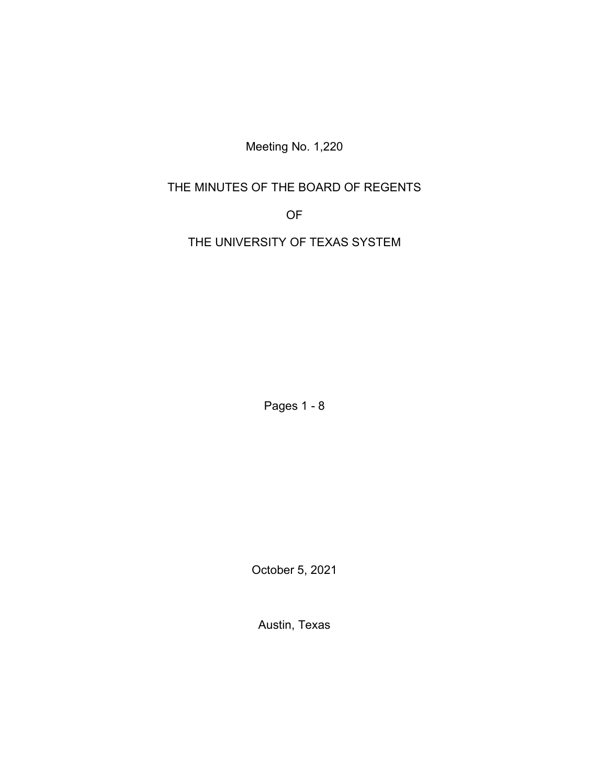Meeting No. 1,220

# THE MINUTES OF THE BOARD OF REGENTS

OF

THE UNIVERSITY OF TEXAS SYSTEM

Pages 1 - 8

October 5, 2021

Austin, Texas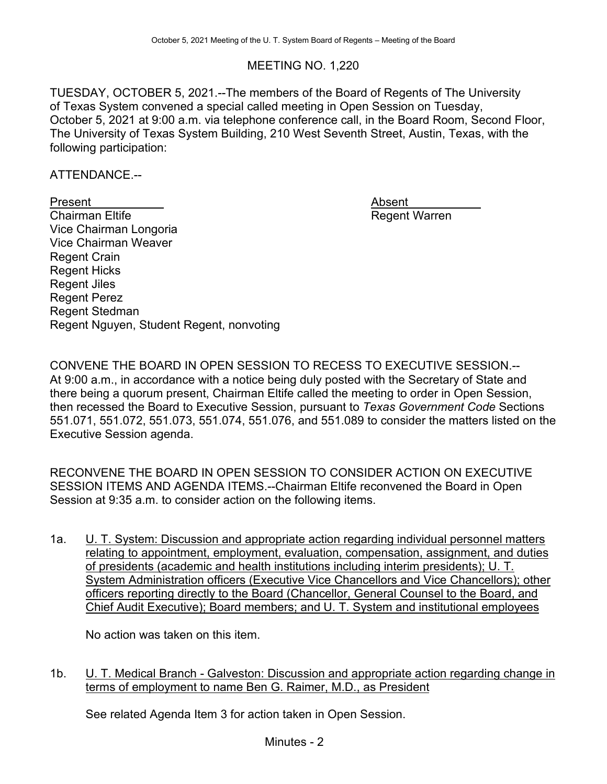### MEETING NO. 1,220

TUESDAY, OCTOBER 5, 2021.--The members of the Board of Regents of The University of Texas System convened a special called meeting in Open Session on Tuesday, October 5, 2021 at 9:00 a.m. via telephone conference call, in the Board Room, Second Floor, The University of Texas System Building, 210 West Seventh Street, Austin, Texas, with the following participation:

ATTENDANCE.--

Present<br>Chairman Eltife Vice Chairman Longoria Vice Chairman Weaver Regent Crain Regent Hicks Regent Jiles Regent Perez Regent Stedman Regent Nguyen, Student Regent, nonvoting Absent<br>Regent Warren

CONVENE THE BOARD IN OPEN SESSION TO RECESS TO EXECUTIVE SESSION.-- At 9:00 a.m., in accordance with a notice being duly posted with the Secretary of State and there being a quorum present, Chairman Eltife called the meeting to order in Open Session, then recessed the Board to Executive Session, pursuant to *Texas Government Code* Sections 551.071, 551.072, 551.073, 551.074, 551.076, and 551.089 to consider the matters listed on the Executive Session agenda.

RECONVENE THE BOARD IN OPEN SESSION TO CONSIDER ACTION ON EXECUTIVE SESSION ITEMS AND AGENDA ITEMS.--Chairman Eltife reconvened the Board in Open Session at 9:35 a.m. to consider action on the following items.

1a. U. T. System: Discussion and appropriate action regarding individual personnel matters relating to appointment, employment, evaluation, compensation, assignment, and duties of presidents (academic and health institutions including interim presidents); U. T. System Administration officers (Executive Vice Chancellors and Vice Chancellors); other officers reporting directly to the Board (Chancellor, General Counsel to the Board, and Chief Audit Executive); Board members; and U. T. System and institutional employees

No action was taken on this item.

1b. U. T. Medical Branch - Galveston: Discussion and appropriate action regarding change in terms of employment to name Ben G. Raimer, M.D., as President

See related Agenda Item 3 for action taken in Open Session.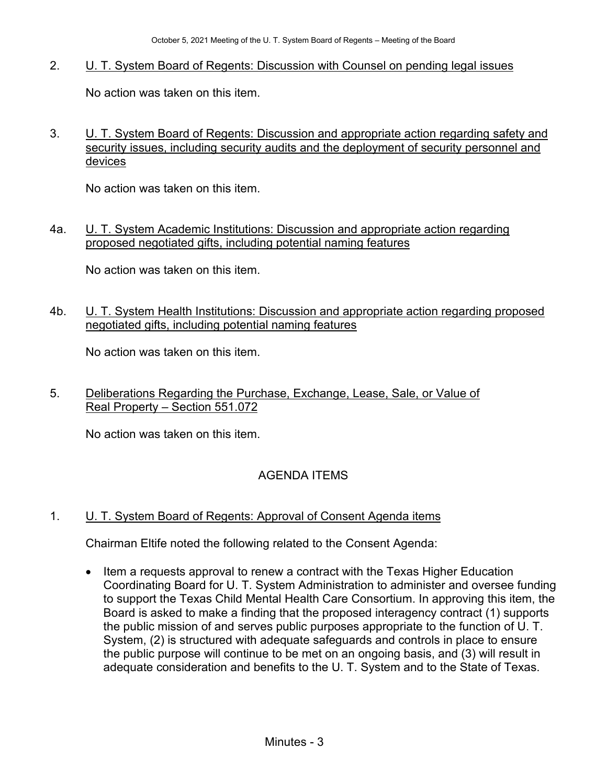2. U. T. System Board of Regents: Discussion with Counsel on pending legal issues

No action was taken on this item.

3. **U. T. System Board of Regents: Discussion and appropriate action regarding safety and** security issues, including security audits and the deployment of security personnel and devices

No action was taken on this item.

4a. U. T. System Academic Institutions: Discussion and appropriate action regarding proposed negotiated gifts, including potential naming features

No action was taken on this item.

4b. U. T. System Health Institutions: Discussion and appropriate action regarding proposed negotiated gifts, including potential naming features

No action was taken on this item.

5. Deliberations Regarding the Purchase, Exchange, Lease, Sale, or Value of Real Property – Section 551.072

No action was taken on this item.

## AGENDA ITEMS

1. **U. T. System Board of Regents: Approval of Consent Agenda items** 

Chairman Eltife noted the following related to the Consent Agenda:

• Item a requests approval to renew a contract with the Texas Higher Education Coordinating Board for U. T. System Administration to administer and oversee funding to support the Texas Child Mental Health Care Consortium. In approving this item, the Board is asked to make a finding that the proposed interagency contract (1) supports the public mission of and serves public purposes appropriate to the function of U. T. System, (2) is structured with adequate safeguards and controls in place to ensure the public purpose will continue to be met on an ongoing basis, and (3) will result in adequate consideration and benefits to the U. T. System and to the State of Texas.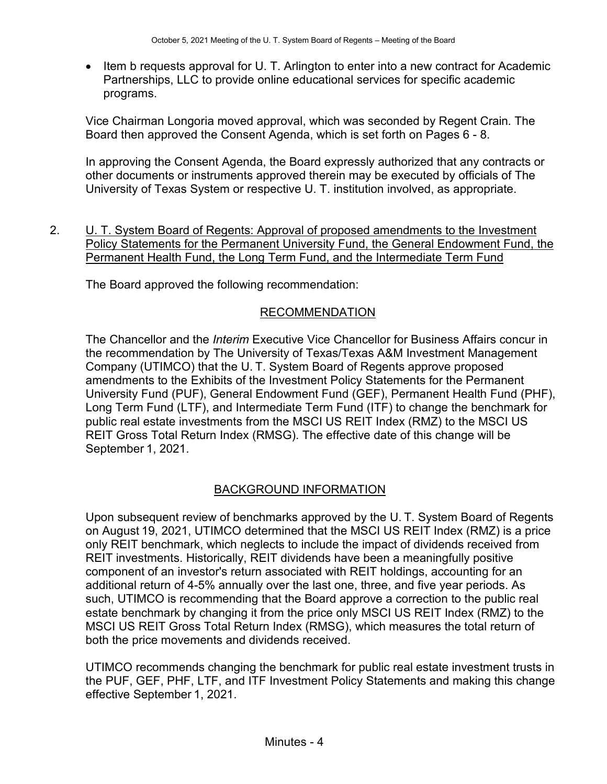• Item b requests approval for U. T. Arlington to enter into a new contract for Academic Partnerships, LLC to provide online educational services for specific academic programs.

Vice Chairman Longoria moved approval, which was seconded by Regent Crain. The Board then approved the Consent Agenda, which is set forth on Pages 6 - 8.

In approving the Consent Agenda, the Board expressly authorized that any contracts or other documents or instruments approved therein may be executed by officials of The University of Texas System or respective U. T. institution involved, as appropriate.

2. U. T. System Board of Regents: Approval of proposed amendments to the Investment Policy Statements for the Permanent University Fund, the General Endowment Fund, the Permanent Health Fund, the Long Term Fund, and the Intermediate Term Fund

The Board approved the following recommendation:

#### RECOMMENDATION

The Chancellor and the *Interim* Executive Vice Chancellor for Business Affairs concur in the recommendation by The University of Texas/Texas A&M Investment Management Company (UTIMCO) that the U. T. System Board of Regents approve proposed amendments to the Exhibits of the Investment Policy Statements for the Permanent University Fund (PUF), General Endowment Fund (GEF), Permanent Health Fund (PHF), Long Term Fund (LTF), and Intermediate Term Fund (ITF) to change the benchmark for public real estate investments from the MSCI US REIT Index (RMZ) to the MSCI US REIT Gross Total Return Index (RMSG). The effective date of this change will be September 1, 2021.

#### BACKGROUND INFORMATION

Upon subsequent review of benchmarks approved by the U. T. System Board of Regents on August 19, 2021, UTIMCO determined that the MSCI US REIT Index (RMZ) is a price only REIT benchmark, which neglects to include the impact of dividends received from REIT investments. Historically, REIT dividends have been a meaningfully positive component of an investor's return associated with REIT holdings, accounting for an additional return of 4-5% annually over the last one, three, and five year periods. As such, UTIMCO is recommending that the Board approve a correction to the public real estate benchmark by changing it from the price only MSCI US REIT Index (RMZ) to the MSCI US REIT Gross Total Return Index (RMSG), which measures the total return of both the price movements and dividends received.

UTIMCO recommends changing the benchmark for public real estate investment trusts in the PUF, GEF, PHF, LTF, and ITF Investment Policy Statements and making this change effective September 1, 2021.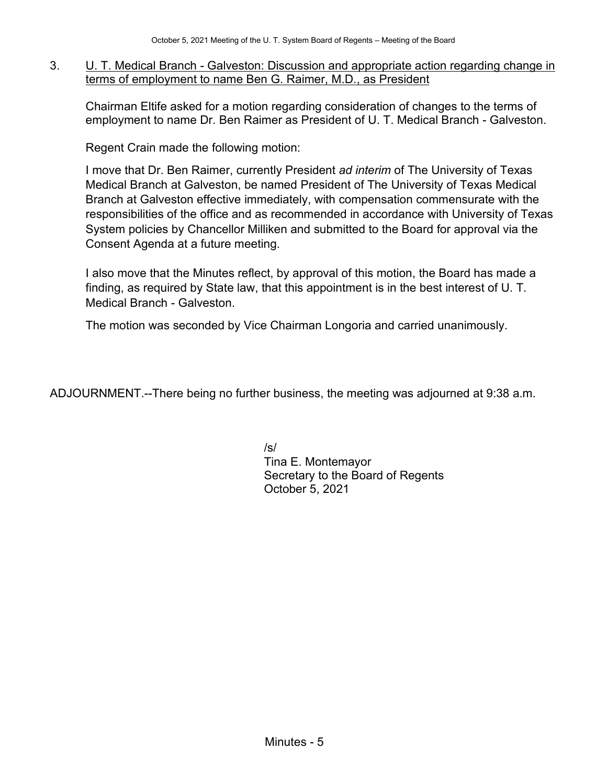3. U. T. Medical Branch - Galveston: Discussion and appropriate action regarding change in terms of employment to name Ben G. Raimer, M.D., as President

Chairman Eltife asked for a motion regarding consideration of changes to the terms of employment to name Dr. Ben Raimer as President of U. T. Medical Branch - Galveston.

Regent Crain made the following motion:

I move that Dr. Ben Raimer, currently President *ad interim* of The University of Texas Medical Branch at Galveston, be named President of The University of Texas Medical Branch at Galveston effective immediately, with compensation commensurate with the responsibilities of the office and as recommended in accordance with University of Texas System policies by Chancellor Milliken and submitted to the Board for approval via the Consent Agenda at a future meeting.

I also move that the Minutes reflect, by approval of this motion, the Board has made a finding, as required by State law, that this appointment is in the best interest of U. T. Medical Branch - Galveston.

The motion was seconded by Vice Chairman Longoria and carried unanimously.

ADJOURNMENT.--There being no further business, the meeting was adjourned at 9:38 a.m.

/s/ Tina E. Montemayor Secretary to the Board of Regents October 5, 2021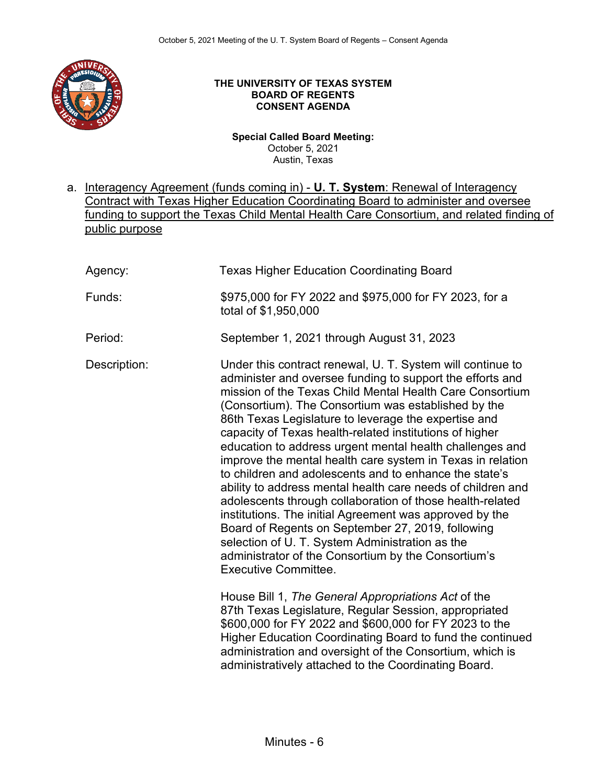

#### **THE UNIVERSITY OF TEXAS SYSTEM BOARD OF REGENTS CONSENT AGENDA**

**Special Called Board Meeting:**  October 5, 2021 Austin, Texas

a. Interagency Agreement (funds coming in) - **U. T. System**: Renewal of Interagency Contract with Texas Higher Education Coordinating Board to administer and oversee funding to support the Texas Child Mental Health Care Consortium, and related finding of public purpose

| Agency:      | <b>Texas Higher Education Coordinating Board</b>                                                                                                                                                                                                                                                                                                                                                                                                                                                                                                                                                                                                                                                                                                                                                                                                                                                                                       |
|--------------|----------------------------------------------------------------------------------------------------------------------------------------------------------------------------------------------------------------------------------------------------------------------------------------------------------------------------------------------------------------------------------------------------------------------------------------------------------------------------------------------------------------------------------------------------------------------------------------------------------------------------------------------------------------------------------------------------------------------------------------------------------------------------------------------------------------------------------------------------------------------------------------------------------------------------------------|
| Funds:       | \$975,000 for FY 2022 and \$975,000 for FY 2023, for a<br>total of \$1,950,000                                                                                                                                                                                                                                                                                                                                                                                                                                                                                                                                                                                                                                                                                                                                                                                                                                                         |
| Period:      | September 1, 2021 through August 31, 2023                                                                                                                                                                                                                                                                                                                                                                                                                                                                                                                                                                                                                                                                                                                                                                                                                                                                                              |
| Description: | Under this contract renewal, U. T. System will continue to<br>administer and oversee funding to support the efforts and<br>mission of the Texas Child Mental Health Care Consortium<br>(Consortium). The Consortium was established by the<br>86th Texas Legislature to leverage the expertise and<br>capacity of Texas health-related institutions of higher<br>education to address urgent mental health challenges and<br>improve the mental health care system in Texas in relation<br>to children and adolescents and to enhance the state's<br>ability to address mental health care needs of children and<br>adolescents through collaboration of those health-related<br>institutions. The initial Agreement was approved by the<br>Board of Regents on September 27, 2019, following<br>selection of U. T. System Administration as the<br>administrator of the Consortium by the Consortium's<br><b>Executive Committee.</b> |
|              | House Bill 1, The General Appropriations Act of the<br>87th Texas Legislature, Regular Session, appropriated<br>\$600,000 for FY 2022 and \$600,000 for FY 2023 to the<br>Higher Education Coordinating Board to fund the continued<br>administration and oversight of the Consortium, which is<br>administratively attached to the Coordinating Board.                                                                                                                                                                                                                                                                                                                                                                                                                                                                                                                                                                                |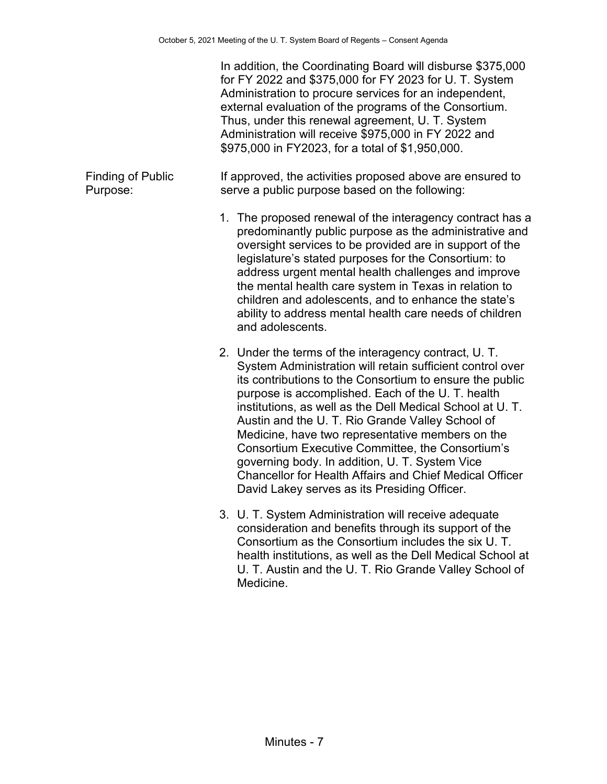|                                      | In addition, the Coordinating Board will disburse \$375,000<br>for FY 2022 and \$375,000 for FY 2023 for U. T. System<br>Administration to procure services for an independent,<br>external evaluation of the programs of the Consortium.<br>Thus, under this renewal agreement, U. T. System<br>Administration will receive \$975,000 in FY 2022 and<br>\$975,000 in FY2023, for a total of \$1,950,000.                                                                                                                                                                                                                |
|--------------------------------------|--------------------------------------------------------------------------------------------------------------------------------------------------------------------------------------------------------------------------------------------------------------------------------------------------------------------------------------------------------------------------------------------------------------------------------------------------------------------------------------------------------------------------------------------------------------------------------------------------------------------------|
| <b>Finding of Public</b><br>Purpose: | If approved, the activities proposed above are ensured to<br>serve a public purpose based on the following:                                                                                                                                                                                                                                                                                                                                                                                                                                                                                                              |
|                                      | 1. The proposed renewal of the interagency contract has a<br>predominantly public purpose as the administrative and<br>oversight services to be provided are in support of the<br>legislature's stated purposes for the Consortium: to<br>address urgent mental health challenges and improve<br>the mental health care system in Texas in relation to<br>children and adolescents, and to enhance the state's<br>ability to address mental health care needs of children<br>and adolescents.                                                                                                                            |
|                                      | 2. Under the terms of the interagency contract, U.T.<br>System Administration will retain sufficient control over<br>its contributions to the Consortium to ensure the public<br>purpose is accomplished. Each of the U. T. health<br>institutions, as well as the Dell Medical School at U. T.<br>Austin and the U. T. Rio Grande Valley School of<br>Medicine, have two representative members on the<br>Consortium Executive Committee, the Consortium's<br>governing body. In addition, U. T. System Vice<br>Chancellor for Health Affairs and Chief Medical Officer<br>David Lakey serves as its Presiding Officer. |
|                                      | 3. U. T. System Administration will receive adequate<br>consideration and benefits through its support of the                                                                                                                                                                                                                                                                                                                                                                                                                                                                                                            |

Consortium as the Consortium includes the six U. T. health institutions, as well as the Dell Medical School at U. T. Austin and the U. T. Rio Grande Valley School of Medicine.